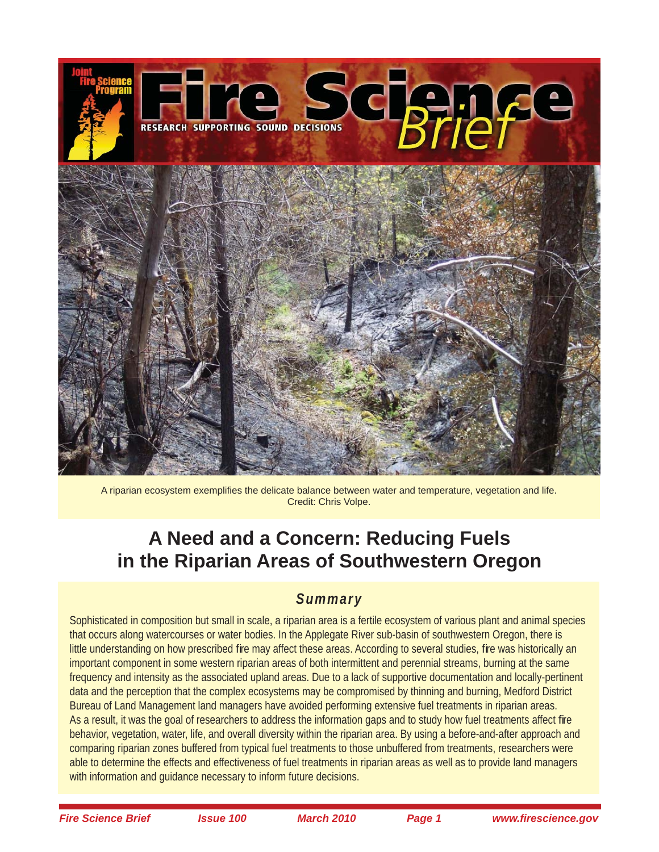

A riparian ecosystem exemplifies the delicate balance between water and temperature, vegetation and life. Credit: Chris Volpe.

# **A Need and a Concern: Reducing Fuels in the Riparian Areas of Southwestern Oregon**

# *Summary*

Sophisticated in composition but small in scale, a riparian area is a fertile ecosystem of various plant and animal species that occurs along watercourses or water bodies. In the Applegate River sub-basin of southwestern Oregon, there is little understanding on how prescribed fire may affect these areas. According to several studies, fire was historically an important component in some western riparian areas of both intermittent and perennial streams, burning at the same frequency and intensity as the associated upland areas. Due to a lack of supportive documentation and locally-pertinent data and the perception that the complex ecosystems may be compromised by thinning and burning, Medford District Bureau of Land Management land managers have avoided performing extensive fuel treatments in riparian areas. As a result, it was the goal of researchers to address the information gaps and to study how fuel treatments affect fire behavior, vegetation, water, life, and overall diversity within the riparian area. By using a before-and-after approach and comparing riparian zones buffered from typical fuel treatments to those unbuffered from treatments, researchers were able to determine the effects and effectiveness of fuel treatments in riparian areas as well as to provide land managers with information and guidance necessary to inform future decisions.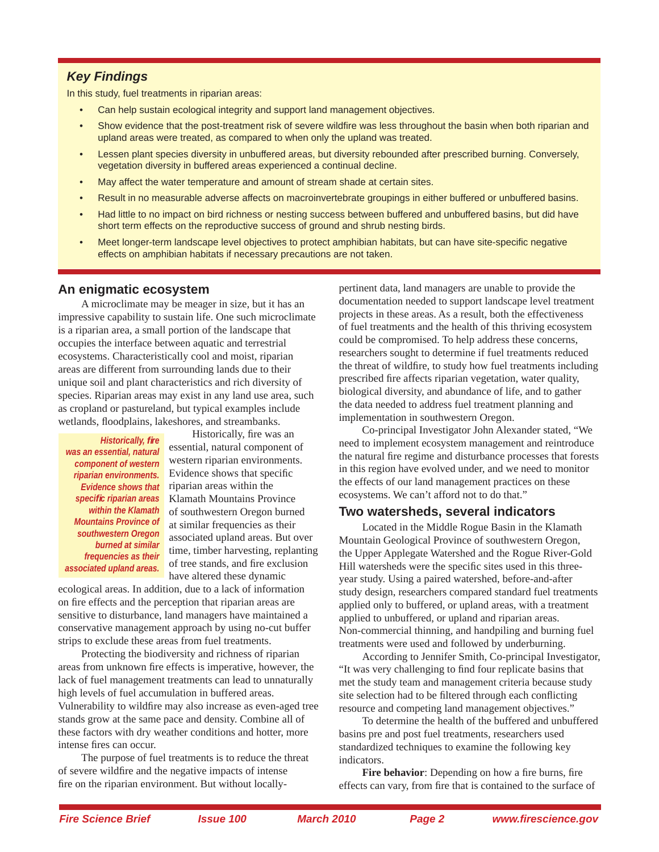### *Key Findings*

In this study, fuel treatments in riparian areas:

- Can help sustain ecological integrity and support land management objectives.
- Show evidence that the post-treatment risk of severe wildfire was less throughout the basin when both riparian and upland areas were treated, as compared to when only the upland was treated.
- Lessen plant species diversity in unbuffered areas, but diversity rebounded after prescribed burning. Conversely, vegetation diversity in buffered areas experienced a continual decline.
- May affect the water temperature and amount of stream shade at certain sites.
- Result in no measurable adverse affects on macroinvertebrate groupings in either buffered or unbuffered basins.
- Had little to no impact on bird richness or nesting success between buffered and unbuffered basins, but did have short term effects on the reproductive success of ground and shrub nesting birds.
- Meet longer-term landscape level objectives to protect amphibian habitats, but can have site-specific negative effects on amphibian habitats if necessary precautions are not taken.

#### **An enigmatic ecosystem**

A microclimate may be meager in size, but it has an impressive capability to sustain life. One such microclimate is a riparian area, a small portion of the landscape that occupies the interface between aquatic and terrestrial ecosystems. Characteristically cool and moist, riparian areas are different from surrounding lands due to their unique soil and plant characteristics and rich diversity of species. Riparian areas may exist in any land use area, such as cropland or pastureland, but typical examples include wetlands, floodplains, lakeshores, and streambanks.

*Historically, fire was an essential, natural component of western riparian environments. within the Klamath Mountains Province of southwestern Oregon burned at similar frequencies as their associated upland areas.*

Historically, fire was an essential, natural component of western riparian environments. Evidence shows that specific *Evidence shows that* riparian areas within the *specific riparian areas* Klamath Mountains Province of southwestern Oregon burned at similar frequencies as their associated upland areas. But over time, timber harvesting, replanting of tree stands, and fire exclusion have altered these dynamic

ecological areas. In addition, due to a lack of information on fire effects and the perception that riparian areas are sensitive to disturbance, land managers have maintained a conservative management approach by using no-cut buffer strips to exclude these areas from fuel treatments.

Protecting the biodiversity and richness of riparian areas from unknown fire effects is imperative, however, the lack of fuel management treatments can lead to unnaturally high levels of fuel accumulation in buffered areas. Vulnerability to wildfire may also increase as even-aged tree stands grow at the same pace and density. Combine all of these factors with dry weather conditions and hotter, more intense fires can occur.

The purpose of fuel treatments is to reduce the threat of severe wildfire and the negative impacts of intense fire on the riparian environment. But without locallypertinent data, land managers are unable to provide the documentation needed to support landscape level treatment projects in these areas. As a result, both the effectiveness of fuel treatments and the health of this thriving ecosystem could be compromised. To help address these concerns, researchers sought to determine if fuel treatments reduced the threat of wildfire, to study how fuel treatments including prescribed fire affects riparian vegetation, water quality, biological diversity, and abundance of life, and to gather the data needed to address fuel treatment planning and implementation in southwestern Oregon.

Co-principal Investigator John Alexander stated, "We need to implement ecosystem management and reintroduce the natural fire regime and disturbance processes that forests in this region have evolved under, and we need to monitor the effects of our land management practices on these ecosystems. We can't afford not to do that."

#### **Two watersheds, several indicators**

Located in the Middle Rogue Basin in the Klamath Mountain Geological Province of southwestern Oregon, the Upper Applegate Watershed and the Rogue River-Gold Hill watersheds were the specific sites used in this threeyear study. Using a paired watershed, before-and-after study design, researchers compared standard fuel treatments applied only to buffered, or upland areas, with a treatment applied to unbuffered, or upland and riparian areas. Non-commercial thinning, and handpiling and burning fuel treatments were used and followed by underburning.

According to Jennifer Smith, Co-principal Investigator, "It was very challenging to find four replicate basins that met the study team and management criteria because study site selection had to be filtered through each conflicting resource and competing land management objectives."

To determine the health of the buffered and unbuffered basins pre and post fuel treatments, researchers used standardized techniques to examine the following key indicators.

**Fire behavior**: Depending on how a fire burns, fire effects can vary, from fire that is contained to the surface of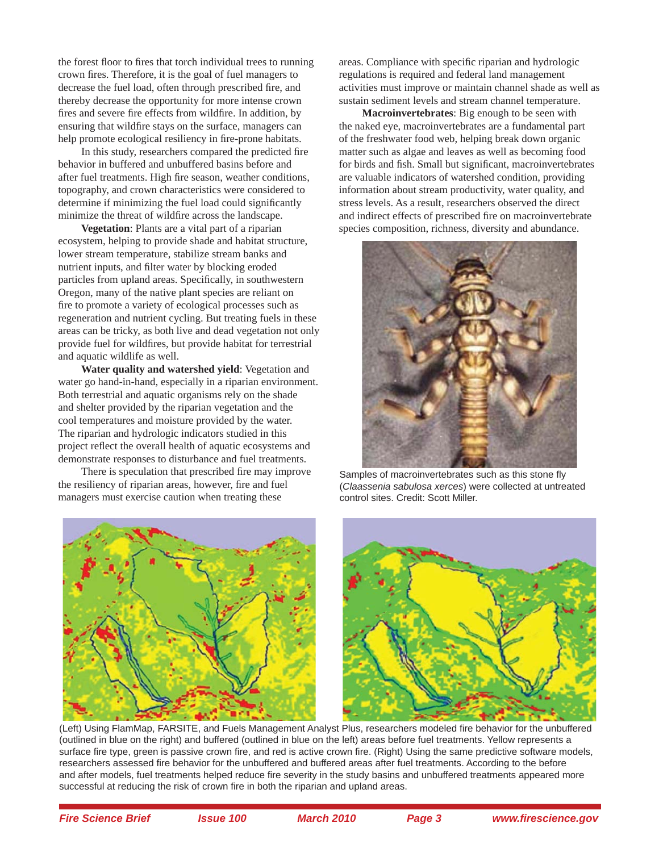the forest floor to fires that torch individual trees to running crown fires. Therefore, it is the goal of fuel managers to decrease the fuel load, often through prescribed fire, and thereby decrease the opportunity for more intense crown fires and severe fire effects from wildfire. In addition, by ensuring that wildfire stays on the surface, managers can help promote ecological resiliency in fire-prone habitats.

In this study, researchers compared the predicted fire behavior in buffered and unbuffered basins before and after fuel treatments. High fire season, weather conditions, topography, and crown characteristics were considered to determine if minimizing the fuel load could significantly minimize the threat of wildfire across the landscape.

**Vegetation**: Plants are a vital part of a riparian ecosystem, helping to provide shade and habitat structure, lower stream temperature, stabilize stream banks and nutrient inputs, and filter water by blocking eroded particles from upland areas. Specifically, in southwestern Oregon, many of the native plant species are reliant on fire to promote a variety of ecological processes such as regeneration and nutrient cycling. But treating fuels in these areas can be tricky, as both live and dead vegetation not only provide fuel for wildfires, but provide habitat for terrestrial and aquatic wildlife as well.

**Water quality and watershed yield**: Vegetation and water go hand-in-hand, especially in a riparian environment. Both terrestrial and aquatic organisms rely on the shade and shelter provided by the riparian vegetation and the cool temperatures and moisture provided by the water. The riparian and hydrologic indicators studied in this project reflect the overall health of aquatic ecosystems and demonstrate responses to disturbance and fuel treatments.

There is speculation that prescribed fire may improve the resiliency of riparian areas, however, fire and fuel managers must exercise caution when treating these

areas. Compliance with specific riparian and hydrologic regulations is required and federal land management activities must improve or maintain channel shade as well as sustain sediment levels and stream channel temperature.

**Macroinvertebrates**: Big enough to be seen with the naked eye, macroinvertebrates are a fundamental part of the freshwater food web, helping break down organic matter such as algae and leaves as well as becoming food for birds and fish. Small but significant, macroinvertebrates are valuable indicators of watershed condition, providing information about stream productivity, water quality, and stress levels. As a result, researchers observed the direct and indirect effects of prescribed fire on macroinvertebrate species composition, richness, diversity and abundance.



Samples of macroinvertebrates such as this stone fly (*Claassenia sabulosa xerces*) were collected at untreated control sites. Credit: Scott Miller.





(Left) Using FlamMap, FARSITE, and Fuels Management Analyst Plus, researchers modeled fire behavior for the unbuffered (outlined in blue on the right) and buffered (outlined in blue on the left) areas before fuel treatments. Yellow represents a surface fire type, green is passive crown fire, and red is active crown fire. (Right) Using the same predictive software models, researchers assessed fire behavior for the unbuffered and buffered areas after fuel treatments. According to the before and after models, fuel treatments helped reduce fire severity in the study basins and unbuffered treatments appeared more successful at reducing the risk of crown fire in both the riparian and upland areas.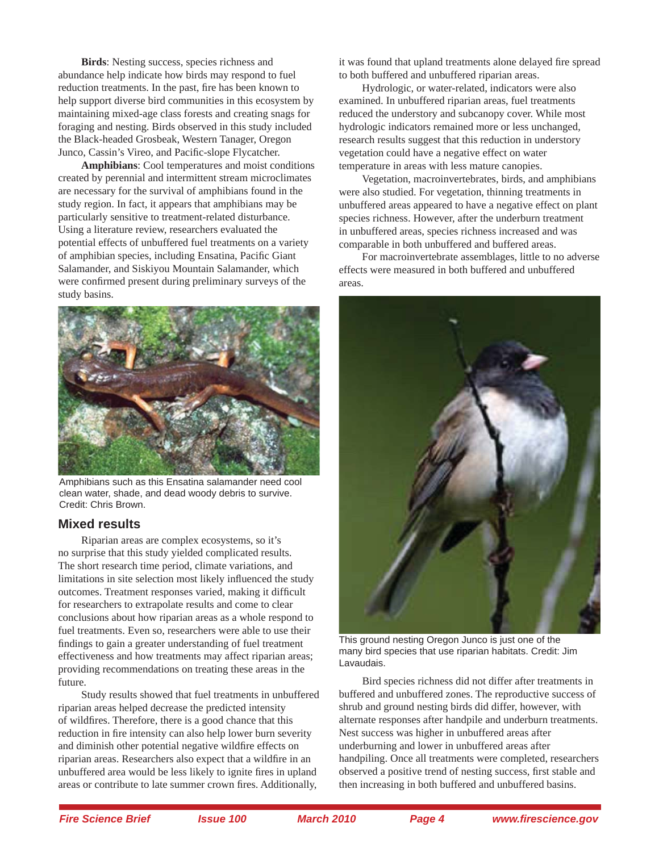**Birds**: Nesting success, species richness and abundance help indicate how birds may respond to fuel reduction treatments. In the past, fire has been known to help support diverse bird communities in this ecosystem by maintaining mixed-age class forests and creating snags for foraging and nesting. Birds observed in this study included the Black-headed Grosbeak, Western Tanager, Oregon Junco, Cassin's Vireo, and Pacific-slope Flycatcher.

**Amphibians**: Cool temperatures and moist conditions created by perennial and intermittent stream microclimates are necessary for the survival of amphibians found in the study region. In fact, it appears that amphibians may be particularly sensitive to treatment-related disturbance. Using a literature review, researchers evaluated the potential effects of unbuffered fuel treatments on a variety of amphibian species, including Ensatina, Pacific Giant Salamander, and Siskiyou Mountain Salamander, which were confirmed present during preliminary surveys of the study basins.



Amphibians such as this Ensatina salamander need cool clean water, shade, and dead woody debris to survive. Credit: Chris Brown.

#### **Mixed results**

Riparian areas are complex ecosystems, so it's no surprise that this study yielded complicated results. The short research time period, climate variations, and limitations in site selection most likely influenced the study outcomes. Treatment responses varied, making it difficult for researchers to extrapolate results and come to clear conclusions about how riparian areas as a whole respond to fuel treatments. Even so, researchers were able to use their findings to gain a greater understanding of fuel treatment effectiveness and how treatments may affect riparian areas; providing recommendations on treating these areas in the future.

Study results showed that fuel treatments in unbuffered riparian areas helped decrease the predicted intensity of wildfires. Therefore, there is a good chance that this reduction in fire intensity can also help lower burn severity and diminish other potential negative wildfire effects on riparian areas. Researchers also expect that a wildfire in an unbuffered area would be less likely to ignite fires in upland areas or contribute to late summer crown fires. Additionally,

it was found that upland treatments alone delayed fire spread to both buffered and unbuffered riparian areas.

Hydrologic, or water-related, indicators were also examined. In unbuffered riparian areas, fuel treatments reduced the understory and subcanopy cover. While most hydrologic indicators remained more or less unchanged, research results suggest that this reduction in understory vegetation could have a negative effect on water temperature in areas with less mature canopies.

Vegetation, macroinvertebrates, birds, and amphibians were also studied. For vegetation, thinning treatments in unbuffered areas appeared to have a negative effect on plant species richness. However, after the underburn treatment in unbuffered areas, species richness increased and was comparable in both unbuffered and buffered areas.

For macroinvertebrate assemblages, little to no adverse effects were measured in both buffered and unbuffered areas.



This ground nesting Oregon Junco is just one of the many bird species that use riparian habitats. Credit: Jim Lavaudais.

Bird species richness did not differ after treatments in buffered and unbuffered zones. The reproductive success of shrub and ground nesting birds did differ, however, with alternate responses after handpile and underburn treatments. Nest success was higher in unbuffered areas after underburning and lower in unbuffered areas after handpiling. Once all treatments were completed, researchers observed a positive trend of nesting success, first stable and then increasing in both buffered and unbuffered basins.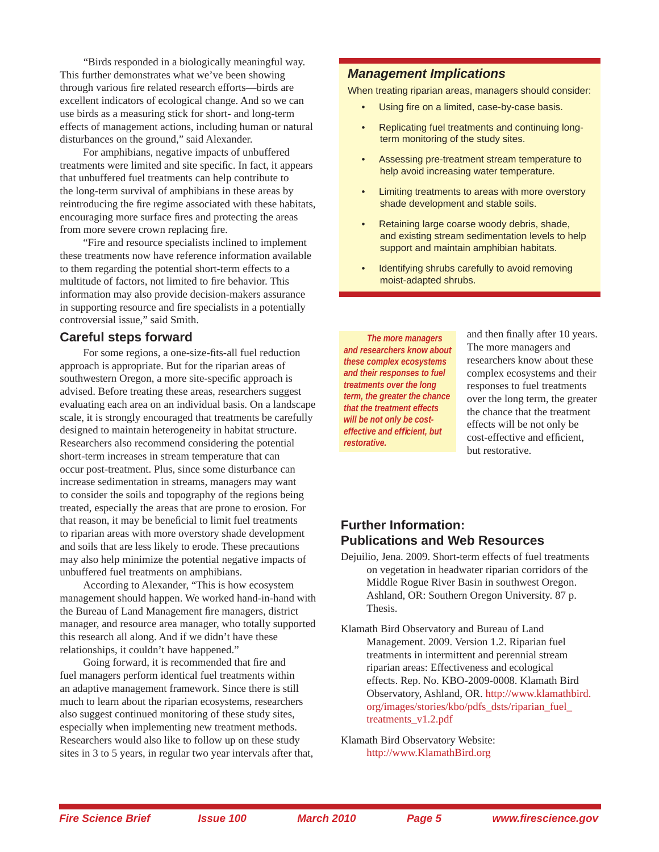"Birds responded in a biologically meaningful way. This further demonstrates what we've been showing through various fire related research efforts—birds are excellent indicators of ecological change. And so we can use birds as a measuring stick for short- and long-term effects of management actions, including human or natural disturbances on the ground," said Alexander.

For amphibians, negative impacts of unbuffered treatments were limited and site specific. In fact, it appears that unbuffered fuel treatments can help contribute to the long-term survival of amphibians in these areas by reintroducing the fire regime associated with these habitats, encouraging more surface fires and protecting the areas from more severe crown replacing fire.

"Fire and resource specialists inclined to implement these treatments now have reference information available to them regarding the potential short-term effects to a multitude of factors, not limited to fire behavior. This information may also provide decision-makers assurance in supporting resource and fire specialists in a potentially controversial issue," said Smith.

#### **Careful steps forward**

For some regions, a one-size-fits-all fuel reduction approach is appropriate. But for the riparian areas of southwestern Oregon, a more site-specific approach is advised. Before treating these areas, researchers suggest evaluating each area on an individual basis. On a landscape scale, it is strongly encouraged that treatments be carefully designed to maintain heterogeneity in habitat structure. Researchers also recommend considering the potential short-term increases in stream temperature that can occur post-treatment. Plus, since some disturbance can increase sedimentation in streams, managers may want to consider the soils and topography of the regions being treated, especially the areas that are prone to erosion. For that reason, it may be beneficial to limit fuel treatments to riparian areas with more overstory shade development and soils that are less likely to erode. These precautions may also help minimize the potential negative impacts of unbuffered fuel treatments on amphibians.

According to Alexander, "This is how ecosystem management should happen. We worked hand-in-hand with the Bureau of Land Management fire managers, district manager, and resource area manager, who totally supported this research all along. And if we didn't have these relationships, it couldn't have happened."

Going forward, it is recommended that fire and fuel managers perform identical fuel treatments within an adaptive management framework. Since there is still much to learn about the riparian ecosystems, researchers also suggest continued monitoring of these study sites, especially when implementing new treatment methods. Researchers would also like to follow up on these study sites in 3 to 5 years, in regular two year intervals after that,

#### *Management Implications*

When treating riparian areas, managers should consider:

- Using fire on a limited, case-by-case basis.
- Replicating fuel treatments and continuing longterm monitoring of the study sites.
- Assessing pre-treatment stream temperature to help avoid increasing water temperature.
- Limiting treatments to areas with more overstory shade development and stable soils.
- Retaining large coarse woody debris, shade, and existing stream sedimentation levels to help support and maintain amphibian habitats.
- Identifying shrubs carefully to avoid removing moist-adapted shrubs.

*The more managers and researchers know about these complex ecosystems and their responses to fuel treatments over the long term, the greater the chance that the treatment effects will be not only be costeffective and effi cient, but restorative.* 

and then finally after 10 years. The more managers and researchers know about these complex ecosystems and their responses to fuel treatments over the long term, the greater the chance that the treatment effects will be not only be cost-effective and efficient. but restorative.

#### **Further Information: Publications and Web Resources**

- Dejuilio, Jena. 2009. Short-term effects of fuel treatments on vegetation in headwater riparian corridors of the Middle Rogue River Basin in southwest Oregon. Ashland, OR: Southern Oregon University. 87 p. Thesis.
- Klamath Bird Observatory and Bureau of Land Management. 2009. Version 1.2. Riparian fuel treatments in intermittent and perennial stream riparian areas: Effectiveness and ecological effects. Rep. No. KBO-2009-0008. Klamath Bird Observatory, Ashland, OR. [http://www.klamathbird.](http://www.klamathbird.org/images/stories/kbo/pdfs_dsts/riparian_fuel_treatments_v1.2.pdf) [org/images/stories/kbo/pdfs\\_dsts/riparian\\_fuel\\_](http://www.klamathbird.org/images/stories/kbo/pdfs_dsts/riparian_fuel_treatments_v1.2.pdf) treatments\_v1.2.pdf

Klamath Bird Observatory Website: <http://www.KlamathBird.org>